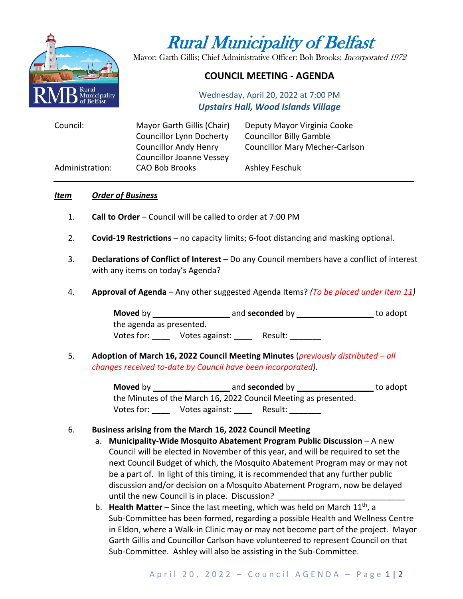

# Rural Municipality of Belfast

Mayor: Garth Gillis; Chief Administrative Officer: Bob Brooks; Incorporated 1972

# **COUNCIL MEETING - AGENDA**

Wednesday, April 20, 2022 at 7:00 PM *Upstairs Hall, Wood Islands Village*

| Council:        | Mayor Garth Gillis (Chair)      | Deputy Mayor Virginia Cooke           |
|-----------------|---------------------------------|---------------------------------------|
|                 | <b>Councillor Lynn Docherty</b> | <b>Councillor Billy Gamble</b>        |
|                 | <b>Councillor Andy Henry</b>    | <b>Councillor Mary Mecher-Carlson</b> |
|                 | <b>Councillor Joanne Vessey</b> |                                       |
| Administration: | <b>CAO Bob Brooks</b>           | Ashley Feschuk                        |

#### *Item Order of Business*

- 1. **Call to Order** Council will be called to order at 7:00 PM
- 2. **Covid-19 Restrictions**  no capacity limits; 6-foot distancing and masking optional.
- 3. **Declarations of Conflict of Interest** Do any Council members have a conflict of interest with any items on today's Agenda?
- 4. **Approval of Agenda** Any other suggested Agenda Items? *(To be placed under Item 11)*

**Moved** by *\_\_\_\_\_\_\_\_\_\_\_\_\_\_\_\_\_* and **seconded** by *\_\_\_\_\_\_\_\_\_\_\_\_\_\_\_\_\_* to adopt the agenda as presented. Votes for: \_\_\_\_\_ Votes against: \_\_\_\_\_ Result: \_\_\_\_\_\_\_

5. **Adoption of March 16, 2022 Council Meeting Minutes** (*previously distributed – all changes received to-date by Council have been incorporated).*

> **Moved** by \_\_\_\_\_\_\_\_\_\_\_\_\_\_\_\_\_ and **seconded** by \_\_\_\_\_\_\_\_\_\_\_\_\_\_\_\_\_ to adopt the Minutes of the March 16, 2022 Council Meeting as presented. Votes for: \_\_\_\_\_ Votes against: \_\_\_\_ Result: \_\_\_\_\_\_\_

#### 6. **Business arising from the March 16, 2022 Council Meeting**

- a. **Municipality-Wide Mosquito Abatement Program Public Discussion** A new Council will be elected in November of this year, and will be required to set the next Council Budget of which, the Mosquito Abatement Program may or may not be a part of. In light of this timing, it is recommended that any further public discussion and/or decision on a Mosquito Abatement Program, now be delayed until the new Council is in place. Discussion?
- b. Health Matter Since the last meeting, which was held on March 11<sup>th</sup>, a Sub-Committee has been formed, regarding a possible Health and Wellness Centre in Eldon, where a Walk-in Clinic may or may not become part of the project. Mayor Garth Gillis and Councillor Carlson have volunteered to represent Council on that Sub-Committee. Ashley will also be assisting in the Sub-Committee.